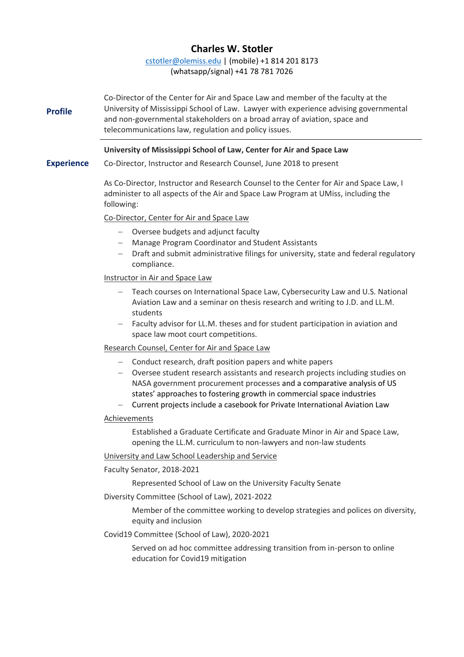# **Charles W. Stotler**

[cstotler@olemiss.edu](mailto:cstotler@olemiss.edu) | (mobile) +1 814 201 8173 (whatsapp/signal) +41 78 781 7026

**Profile** Co-Director of the Center for Air and Space Law and member of the faculty at the University of Mississippi School of Law. Lawyer with experience advising governmental and non-governmental stakeholders on a broad array of aviation, space and telecommunications law, regulation and policy issues.

## **University of Mississippi School of Law, Center for Air and Space Law**

**Experience** Co-Director, Instructor and Research Counsel, June 2018 to present

> As Co-Director, Instructor and Research Counsel to the Center for Air and Space Law, I administer to all aspects of the Air and Space Law Program at UMiss, including the following:

## Co-Director, Center for Air and Space Law

- − Oversee budgets and adjunct faculty
- − Manage Program Coordinator and Student Assistants
- − Draft and submit administrative filings for university, state and federal regulatory compliance.

## Instructor in Air and Space Law

- − Teach courses on International Space Law, Cybersecurity Law and U.S. National Aviation Law and a seminar on thesis research and writing to J.D. and LL.M. students
- − Faculty advisor for LL.M. theses and for student participation in aviation and space law moot court competitions.

#### Research Counsel, Center for Air and Space Law

- − Conduct research, draft position papers and white papers
- − Oversee student research assistants and research projects including studies on NASA government procurement processes and a comparative analysis of US states' approaches to fostering growth in commercial space industries
- − Current projects include a casebook for Private International Aviation Law

#### Achievements

Established a Graduate Certificate and Graduate Minor in Air and Space Law, opening the LL.M. curriculum to non-lawyers and non-law students

#### University and Law School Leadership and Service

Faculty Senator, 2018-2021

Represented School of Law on the University Faculty Senate

Diversity Committee (School of Law), 2021-2022

Member of the committee working to develop strategies and polices on diversity, equity and inclusion

Covid19 Committee (School of Law), 2020-2021

Served on ad hoc committee addressing transition from in-person to online education for Covid19 mitigation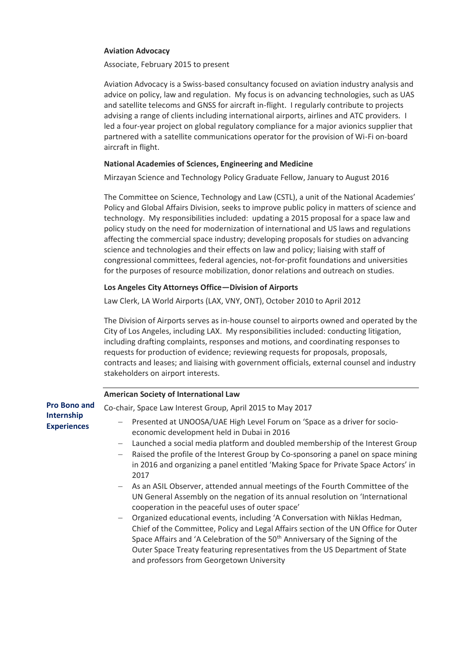## **Aviation Advocacy**

Associate, February 2015 to present

Aviation Advocacy is a Swiss-based consultancy focused on aviation industry analysis and advice on policy, law and regulation. My focus is on advancing technologies, such as UAS and satellite telecoms and GNSS for aircraft in-flight. I regularly contribute to projects advising a range of clients including international airports, airlines and ATC providers. I led a four-year project on global regulatory compliance for a major avionics supplier that partnered with a satellite communications operator for the provision of Wi-Fi on-board aircraft in flight.

## **National Academies of Sciences, Engineering and Medicine**

Mirzayan Science and Technology Policy Graduate Fellow, January to August 2016

The Committee on Science, Technology and Law (CSTL), a unit of the National Academies' Policy and Global Affairs Division, seeks to improve public policy in matters of science and technology. My responsibilities included: updating a 2015 proposal for a space law and policy study on the need for modernization of international and US laws and regulations affecting the commercial space industry; developing proposals for studies on advancing science and technologies and their effects on law and policy; liaising with staff of congressional committees, federal agencies, not-for-profit foundations and universities for the purposes of resource mobilization, donor relations and outreach on studies.

## **Los Angeles City Attorneys Office—Division of Airports**

Law Clerk, LA World Airports (LAX, VNY, ONT), October 2010 to April 2012

The Division of Airports serves as in-house counsel to airports owned and operated by the City of Los Angeles, including LAX. My responsibilities included: conducting litigation, including drafting complaints, responses and motions, and coordinating responses to requests for production of evidence; reviewing requests for proposals, proposals, contracts and leases; and liaising with government officials, external counsel and industry stakeholders on airport interests.

|                                         | <b>American Society of International Law</b>                                                                                                                                                                                                                                                                                                                                                                                                                                                                                                                                                                                                                                                                                                                                                                                                                                                                                                                                                                                                                |
|-----------------------------------------|-------------------------------------------------------------------------------------------------------------------------------------------------------------------------------------------------------------------------------------------------------------------------------------------------------------------------------------------------------------------------------------------------------------------------------------------------------------------------------------------------------------------------------------------------------------------------------------------------------------------------------------------------------------------------------------------------------------------------------------------------------------------------------------------------------------------------------------------------------------------------------------------------------------------------------------------------------------------------------------------------------------------------------------------------------------|
| <b>Pro Bono and</b>                     | Co-chair, Space Law Interest Group, April 2015 to May 2017                                                                                                                                                                                                                                                                                                                                                                                                                                                                                                                                                                                                                                                                                                                                                                                                                                                                                                                                                                                                  |
| <b>Internship</b><br><b>Experiences</b> | Presented at UNOOSA/UAE High Level Forum on 'Space as a driver for socio-<br>$\overline{\phantom{m}}$<br>economic development held in Dubai in 2016<br>Launched a social media platform and doubled membership of the Interest Group<br>$\overline{\phantom{m}}$<br>Raised the profile of the Interest Group by Co-sponsoring a panel on space mining<br>in 2016 and organizing a panel entitled 'Making Space for Private Space Actors' in<br>2017<br>- As an ASIL Observer, attended annual meetings of the Fourth Committee of the<br>UN General Assembly on the negation of its annual resolution on 'International<br>cooperation in the peaceful uses of outer space'<br>Organized educational events, including 'A Conversation with Niklas Hedman,<br>$\overline{\phantom{0}}$<br>Chief of the Committee, Policy and Legal Affairs section of the UN Office for Outer<br>Space Affairs and 'A Celebration of the 50 <sup>th</sup> Anniversary of the Signing of the<br>Outer Space Treaty featuring representatives from the US Department of State |
|                                         |                                                                                                                                                                                                                                                                                                                                                                                                                                                                                                                                                                                                                                                                                                                                                                                                                                                                                                                                                                                                                                                             |

and professors from Georgetown University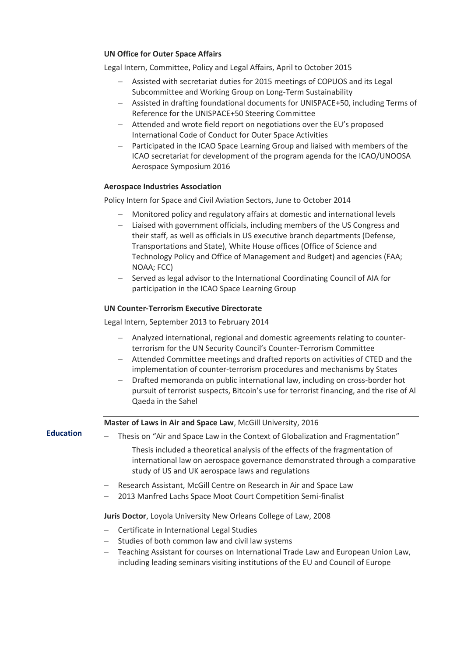## **UN Office for Outer Space Affairs**

Legal Intern, Committee, Policy and Legal Affairs, April to October 2015

- − Assisted with secretariat duties for 2015 meetings of COPUOS and its Legal Subcommittee and Working Group on Long-Term Sustainability
- − Assisted in drafting foundational documents for UNISPACE+50, including Terms of Reference for the UNISPACE+50 Steering Committee
- − Attended and wrote field report on negotiations over the EU's proposed International Code of Conduct for Outer Space Activities
- − Participated in the ICAO Space Learning Group and liaised with members of the ICAO secretariat for development of the program agenda for the ICAO/UNOOSA Aerospace Symposium 2016

#### **Aerospace Industries Association**

Policy Intern for Space and Civil Aviation Sectors, June to October 2014

- − Monitored policy and regulatory affairs at domestic and international levels
- − Liaised with government officials, including members of the US Congress and their staff, as well as officials in US executive branch departments (Defense, Transportations and State), White House offices (Office of Science and Technology Policy and Office of Management and Budget) and agencies (FAA; NOAA; FCC)
- Served as legal advisor to the International Coordinating Council of AIA for participation in the ICAO Space Learning Group

## **UN Counter-Terrorism Executive Directorate**

Legal Intern, September 2013 to February 2014

- − Analyzed international, regional and domestic agreements relating to counterterrorism for the UN Security Council's Counter-Terrorism Committee
- − Attended Committee meetings and drafted reports on activities of CTED and the implementation of counter-terrorism procedures and mechanisms by States
- − Drafted memoranda on public international law, including on cross-border hot pursuit of terrorist suspects, Bitcoin's use for terrorist financing, and the rise of Al Qaeda in the Sahel

#### **Master of Laws in Air and Space Law**, McGill University, 2016

**Education**

- − Thesis on "Air and Space Law in the Context of Globalization and Fragmentation"
	- Thesis included a theoretical analysis of the effects of the fragmentation of international law on aerospace governance demonstrated through a comparative study of US and UK aerospace laws and regulations
- − Research Assistant, McGill Centre on Research in Air and Space Law
- − 2013 Manfred Lachs Space Moot Court Competition Semi-finalist

#### **Juris Doctor**, Loyola University New Orleans College of Law, 2008

- − Certificate in International Legal Studies
- − Studies of both common law and civil law systems
- − Teaching Assistant for courses on International Trade Law and European Union Law, including leading seminars visiting institutions of the EU and Council of Europe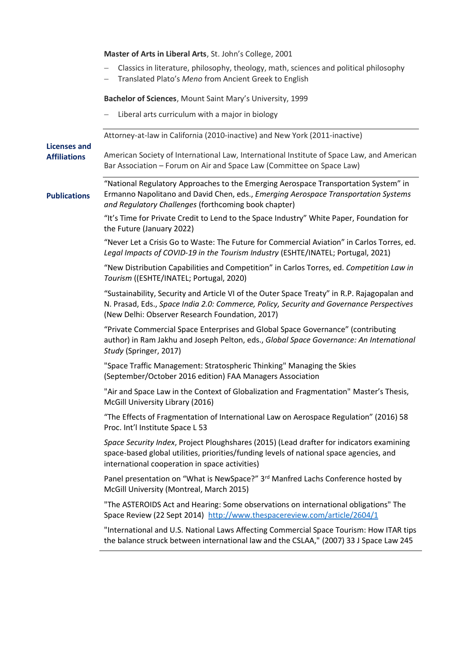**Master of Arts in Liberal Arts**, St. John's College, 2001 − Classics in literature, philosophy, theology, math, sciences and political philosophy − Translated Plato's *Meno* from Ancient Greek to English **Bachelor of Sciences**, Mount Saint Mary's University, 1999 − Liberal arts curriculum with a major in biology **Licenses and Affiliations** Attorney-at-law in California (2010-inactive) and New York (2011-inactive) American Society of International Law, International Institute of Space Law, and American Bar Association – Forum on Air and Space Law (Committee on Space Law) **Publications**  "National Regulatory Approaches to the Emerging Aerospace Transportation System" in Ermanno Napolitano and David Chen, eds., *Emerging Aerospace Transportation Systems and Regulatory Challenges* (forthcoming book chapter) "It's Time for Private Credit to Lend to the Space Industry" White Paper, Foundation for the Future (January 2022) "Never Let a Crisis Go to Waste: The Future for Commercial Aviation" in Carlos Torres, ed. *Legal Impacts of COVID-19 in the Tourism Industry* (ESHTE/INATEL; Portugal, 2021) "New Distribution Capabilities and Competition" in Carlos Torres, ed. *Competition Law in Tourism* ((ESHTE/INATEL; Portugal, 2020) "Sustainability, Security and Article VI of the Outer Space Treaty" in R.P. Rajagopalan and N. Prasad, Eds., *Space India 2.0: Commerce, Policy, Security and Governance Perspectives*  (New Delhi: Observer Research Foundation, 2017) "Private Commercial Space Enterprises and Global Space Governance" (contributing author) in Ram Jakhu and Joseph Pelton, eds., *Global Space Governance: An International Study* (Springer, 2017) "Space Traffic Management: Stratospheric Thinking" Managing the Skies (September/October 2016 edition) FAA Managers Association "Air and Space Law in the Context of Globalization and Fragmentation" Master's Thesis, McGill University Library (2016) "The Effects of Fragmentation of International Law on Aerospace Regulation" (2016) 58 Proc. Int'l Institute Space L 53 *Space Security Index*, Project Ploughshares (2015) (Lead drafter for indicators examining space-based global utilities, priorities/funding levels of national space agencies, and international cooperation in space activities) Panel presentation on "What is NewSpace?" 3rd Manfred Lachs Conference hosted by McGill University (Montreal, March 2015) "The ASTEROIDS Act and Hearing: Some observations on international obligations" The Space Review (22 Sept 2014) <http://www.thespacereview.com/article/2604/1> "International and U.S. National Laws Affecting Commercial Space Tourism: How ITAR tips the balance struck between international law and the CSLAA," (2007) 33 J Space Law 245